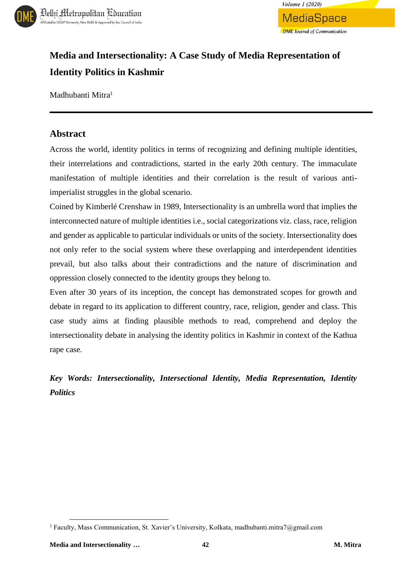



# **Media and Intersectionality: A Case Study of Media Representation of Identity Politics in Kashmir**

Madhubanti Mitra<sup>1</sup>

## **Abstract**

Across the world, identity politics in terms of recognizing and defining multiple identities, their interrelations and contradictions, started in the early 20th century. The immaculate manifestation of multiple identities and their correlation is the result of various antiimperialist struggles in the global scenario.

Coined by Kimberlé Crenshaw in 1989, Intersectionality is an umbrella word that implies the interconnected nature of multiple identities i.e., social categorizations viz. class, race, religion and gender as applicable to particular individuals or units of the society. Intersectionality does not only refer to the social system where these overlapping and interdependent identities prevail, but also talks about their contradictions and the nature of discrimination and oppression closely connected to the identity groups they belong to.

Even after 30 years of its inception, the concept has demonstrated scopes for growth and debate in regard to its application to different country, race, religion, gender and class. This case study aims at finding plausible methods to read, comprehend and deploy the intersectionality debate in analysing the identity politics in Kashmir in context of the Kathua rape case.

*Key Words: Intersectionality, Intersectional Identity, Media Representation, Identity Politics*

 $\overline{\phantom{a}}$ 

<sup>1</sup> Faculty, Mass Communication, St. Xavier's University, Kolkata, madhubanti.mitra7@gmail.com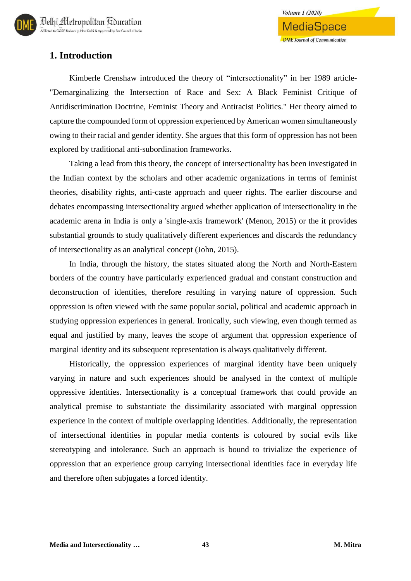## **1. Introduction**

Kimberle Crenshaw introduced the theory of "intersectionality" in her 1989 article- "Demarginalizing the Intersection of Race and Sex: A Black Feminist Critique of Antidiscrimination Doctrine, Feminist Theory and Antiracist Politics." Her theory aimed to capture the compounded form of oppression experienced by American women simultaneously owing to their racial and gender identity. She argues that this form of oppression has not been explored by traditional anti-subordination frameworks.

Taking a lead from this theory, the concept of intersectionality has been investigated in the Indian context by the scholars and other academic organizations in terms of feminist theories, disability rights, anti-caste approach and queer rights. The earlier discourse and debates encompassing intersectionality argued whether application of intersectionality in the academic arena in India is only a 'single-axis framework' (Menon, 2015) or the it provides substantial grounds to study qualitatively different experiences and discards the redundancy of intersectionality as an analytical concept (John, 2015).

In India, through the history, the states situated along the North and North-Eastern borders of the country have particularly experienced gradual and constant construction and deconstruction of identities, therefore resulting in varying nature of oppression. Such oppression is often viewed with the same popular social, political and academic approach in studying oppression experiences in general. Ironically, such viewing, even though termed as equal and justified by many, leaves the scope of argument that oppression experience of marginal identity and its subsequent representation is always qualitatively different.

Historically, the oppression experiences of marginal identity have been uniquely varying in nature and such experiences should be analysed in the context of multiple oppressive identities. Intersectionality is a conceptual framework that could provide an analytical premise to substantiate the dissimilarity associated with marginal oppression experience in the context of multiple overlapping identities. Additionally, the representation of intersectional identities in popular media contents is coloured by social evils like stereotyping and intolerance. Such an approach is bound to trivialize the experience of oppression that an experience group carrying intersectional identities face in everyday life and therefore often subjugates a forced identity.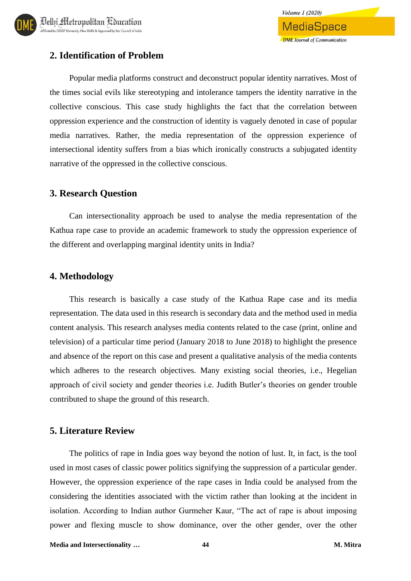

## **2. Identification of Problem**

Popular media platforms construct and deconstruct popular identity narratives. Most of the times social evils like stereotyping and intolerance tampers the identity narrative in the collective conscious. This case study highlights the fact that the correlation between oppression experience and the construction of identity is vaguely denoted in case of popular media narratives. Rather, the media representation of the oppression experience of intersectional identity suffers from a bias which ironically constructs a subjugated identity narrative of the oppressed in the collective conscious.

### **3. Research Question**

Can intersectionality approach be used to analyse the media representation of the Kathua rape case to provide an academic framework to study the oppression experience of the different and overlapping marginal identity units in India?

## **4. Methodology**

This research is basically a case study of the Kathua Rape case and its media representation. The data used in this research is secondary data and the method used in media content analysis. This research analyses media contents related to the case (print, online and television) of a particular time period (January 2018 to June 2018) to highlight the presence and absence of the report on this case and present a qualitative analysis of the media contents which adheres to the research objectives. Many existing social theories, i.e., Hegelian approach of civil society and gender theories i.e. Judith Butler's theories on gender trouble contributed to shape the ground of this research.

## **5. Literature Review**

The politics of rape in India goes way beyond the notion of lust. It, in fact, is the tool used in most cases of classic power politics signifying the suppression of a particular gender. However, the oppression experience of the rape cases in India could be analysed from the considering the identities associated with the victim rather than looking at the incident in isolation. According to Indian author Gurmeher Kaur, "The act of rape is about imposing power and flexing muscle to show dominance, over the other gender, over the other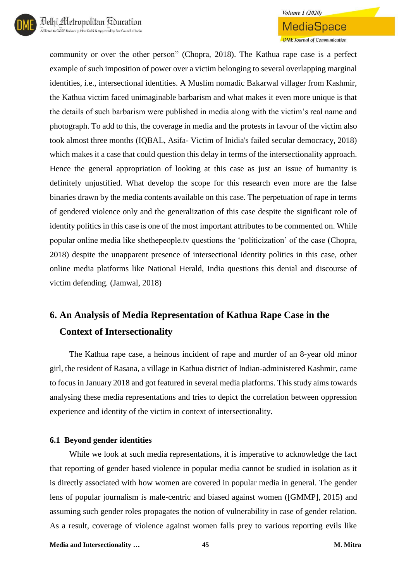

**MediaSpace DME** Journal of Communication

community or over the other person" (Chopra, 2018). The Kathua rape case is a perfect example of such imposition of power over a victim belonging to several overlapping marginal identities, i.e., intersectional identities. A Muslim nomadic Bakarwal villager from Kashmir, the Kathua victim faced unimaginable barbarism and what makes it even more unique is that the details of such barbarism were published in media along with the victim's real name and photograph. To add to this, the coverage in media and the protests in favour of the victim also took almost three months (IQBAL, Asifa- Victim of Inidia's failed secular democracy, 2018) which makes it a case that could question this delay in terms of the intersectionality approach. Hence the general appropriation of looking at this case as just an issue of humanity is definitely unjustified. What develop the scope for this research even more are the false binaries drawn by the media contents available on this case. The perpetuation of rape in terms of gendered violence only and the generalization of this case despite the significant role of identity politics in this case is one of the most important attributes to be commented on. While popular online media like shethepeople.tv questions the 'politicization' of the case (Chopra, 2018) despite the unapparent presence of intersectional identity politics in this case, other online media platforms like National Herald, India questions this denial and discourse of victim defending. (Jamwal, 2018)

# **6. An Analysis of Media Representation of Kathua Rape Case in the Context of Intersectionality**

The Kathua rape case, a heinous incident of rape and murder of an 8-year old minor girl, the resident of Rasana, a village in Kathua district of Indian-administered Kashmir, came to focus in January 2018 and got featured in several media platforms. This study aims towards analysing these media representations and tries to depict the correlation between oppression experience and identity of the victim in context of intersectionality.

#### **6.1 Beyond gender identities**

While we look at such media representations, it is imperative to acknowledge the fact that reporting of gender based violence in popular media cannot be studied in isolation as it is directly associated with how women are covered in popular media in general. The gender lens of popular journalism is male-centric and biased against women ([GMMP], 2015) and assuming such gender roles propagates the notion of vulnerability in case of gender relation. As a result, coverage of violence against women falls prey to various reporting evils like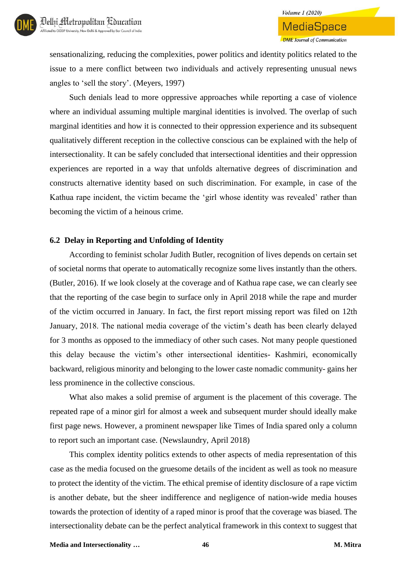

**DME** Journal of Communication

sensationalizing, reducing the complexities, power politics and identity politics related to the issue to a mere conflict between two individuals and actively representing unusual news angles to 'sell the story'. (Meyers, 1997)

Such denials lead to more oppressive approaches while reporting a case of violence where an individual assuming multiple marginal identities is involved. The overlap of such marginal identities and how it is connected to their oppression experience and its subsequent qualitatively different reception in the collective conscious can be explained with the help of intersectionality. It can be safely concluded that intersectional identities and their oppression experiences are reported in a way that unfolds alternative degrees of discrimination and constructs alternative identity based on such discrimination. For example, in case of the Kathua rape incident, the victim became the 'girl whose identity was revealed' rather than becoming the victim of a heinous crime.

#### **6.2 Delay in Reporting and Unfolding of Identity**

According to feminist scholar Judith Butler, recognition of lives depends on certain set of societal norms that operate to automatically recognize some lives instantly than the others. (Butler, 2016). If we look closely at the coverage and of Kathua rape case, we can clearly see that the reporting of the case begin to surface only in April 2018 while the rape and murder of the victim occurred in January. In fact, the first report missing report was filed on 12th January, 2018. The national media coverage of the victim's death has been clearly delayed for 3 months as opposed to the immediacy of other such cases. Not many people questioned this delay because the victim's other intersectional identities- Kashmiri, economically backward, religious minority and belonging to the lower caste nomadic community- gains her less prominence in the collective conscious.

What also makes a solid premise of argument is the placement of this coverage. The repeated rape of a minor girl for almost a week and subsequent murder should ideally make first page news. However, a prominent newspaper like Times of India spared only a column to report such an important case. (Newslaundry, April 2018)

This complex identity politics extends to other aspects of media representation of this case as the media focused on the gruesome details of the incident as well as took no measure to protect the identity of the victim. The ethical premise of identity disclosure of a rape victim is another debate, but the sheer indifference and negligence of nation-wide media houses towards the protection of identity of a raped minor is proof that the coverage was biased. The intersectionality debate can be the perfect analytical framework in this context to suggest that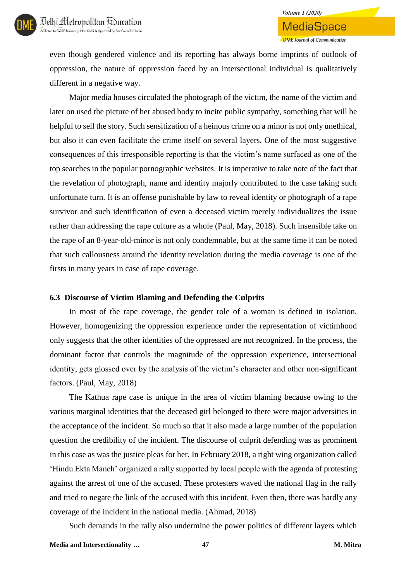even though gendered violence and its reporting has always borne imprints of outlook of oppression, the nature of oppression faced by an intersectional individual is qualitatively different in a negative way.

Major media houses circulated the photograph of the victim, the name of the victim and later on used the picture of her abused body to incite public sympathy, something that will be helpful to sell the story. Such sensitization of a heinous crime on a minor is not only unethical, but also it can even facilitate the crime itself on several layers. One of the most suggestive consequences of this irresponsible reporting is that the victim's name surfaced as one of the top searches in the popular pornographic websites. It is imperative to take note of the fact that the revelation of photograph, name and identity majorly contributed to the case taking such unfortunate turn. It is an offense punishable by law to reveal identity or photograph of a rape survivor and such identification of even a deceased victim merely individualizes the issue rather than addressing the rape culture as a whole (Paul, May, 2018). Such insensible take on the rape of an 8-year-old-minor is not only condemnable, but at the same time it can be noted that such callousness around the identity revelation during the media coverage is one of the firsts in many years in case of rape coverage.

#### **6.3 Discourse of Victim Blaming and Defending the Culprits**

In most of the rape coverage, the gender role of a woman is defined in isolation. However, homogenizing the oppression experience under the representation of victimhood only suggests that the other identities of the oppressed are not recognized. In the process, the dominant factor that controls the magnitude of the oppression experience, intersectional identity, gets glossed over by the analysis of the victim's character and other non-significant factors. (Paul, May, 2018)

The Kathua rape case is unique in the area of victim blaming because owing to the various marginal identities that the deceased girl belonged to there were major adversities in the acceptance of the incident. So much so that it also made a large number of the population question the credibility of the incident. The discourse of culprit defending was as prominent in this case as was the justice pleas for her. In February 2018, a right wing organization called 'Hindu Ekta Manch' organized a rally supported by local people with the agenda of protesting against the arrest of one of the accused. These protesters waved the national flag in the rally and tried to negate the link of the accused with this incident. Even then, there was hardly any coverage of the incident in the national media. (Ahmad, 2018)

Such demands in the rally also undermine the power politics of different layers which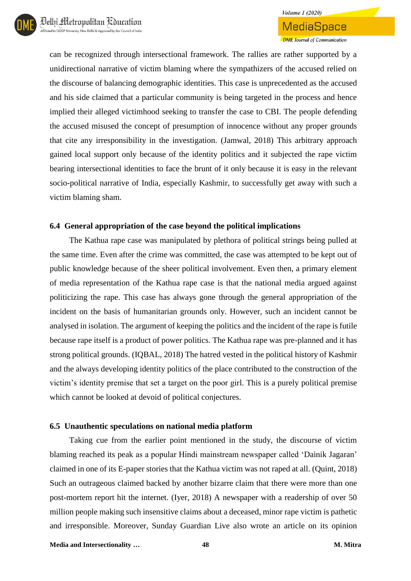can be recognized through intersectional framework. The rallies are rather supported by a unidirectional narrative of victim blaming where the sympathizers of the accused relied on the discourse of balancing demographic identities. This case is unprecedented as the accused and his side claimed that a particular community is being targeted in the process and hence implied their alleged victimhood seeking to transfer the case to CBI. The people defending the accused misused the concept of presumption of innocence without any proper grounds that cite any irresponsibility in the investigation. (Jamwal, 2018) This arbitrary approach gained local support only because of the identity politics and it subjected the rape victim bearing intersectional identities to face the brunt of it only because it is easy in the relevant socio-political narrative of India, especially Kashmir, to successfully get away with such a victim blaming sham.

#### **6.4 General appropriation of the case beyond the political implications**

The Kathua rape case was manipulated by plethora of political strings being pulled at the same time. Even after the crime was committed, the case was attempted to be kept out of public knowledge because of the sheer political involvement. Even then, a primary element of media representation of the Kathua rape case is that the national media argued against politicizing the rape. This case has always gone through the general appropriation of the incident on the basis of humanitarian grounds only. However, such an incident cannot be analysed in isolation. The argument of keeping the politics and the incident of the rape is futile because rape itself is a product of power politics. The Kathua rape was pre-planned and it has strong political grounds. (IQBAL, 2018) The hatred vested in the political history of Kashmir and the always developing identity politics of the place contributed to the construction of the victim's identity premise that set a target on the poor girl. This is a purely political premise which cannot be looked at devoid of political conjectures.

## **6.5 Unauthentic speculations on national media platform**

Taking cue from the earlier point mentioned in the study, the discourse of victim blaming reached its peak as a popular Hindi mainstream newspaper called 'Dainik Jagaran' claimed in one of its E-paper stories that the Kathua victim was not raped at all. (Quint, 2018) Such an outrageous claimed backed by another bizarre claim that there were more than one post-mortem report hit the internet. (Iyer, 2018) A newspaper with a readership of over 50 million people making such insensitive claims about a deceased, minor rape victim is pathetic and irresponsible. Moreover, Sunday Guardian Live also wrote an article on its opinion

**Media and Intersectionality … 48 M. Mitra**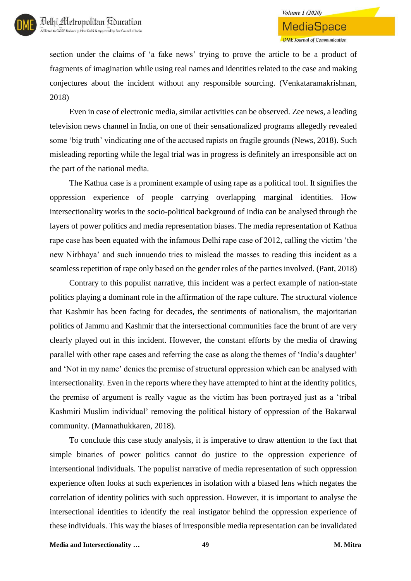section under the claims of 'a fake news' trying to prove the article to be a product of fragments of imagination while using real names and identities related to the case and making conjectures about the incident without any responsible sourcing. (Venkataramakrishnan, 2018)

Even in case of electronic media, similar activities can be observed. Zee news, a leading television news channel in India, on one of their sensationalized programs allegedly revealed some 'big truth' vindicating one of the accused rapists on fragile grounds (News, 2018). Such misleading reporting while the legal trial was in progress is definitely an irresponsible act on the part of the national media.

The Kathua case is a prominent example of using rape as a political tool. It signifies the oppression experience of people carrying overlapping marginal identities. How intersectionality works in the socio-political background of India can be analysed through the layers of power politics and media representation biases. The media representation of Kathua rape case has been equated with the infamous Delhi rape case of 2012, calling the victim 'the new Nirbhaya' and such innuendo tries to mislead the masses to reading this incident as a seamless repetition of rape only based on the gender roles of the parties involved. (Pant, 2018)

Contrary to this populist narrative, this incident was a perfect example of nation-state politics playing a dominant role in the affirmation of the rape culture. The structural violence that Kashmir has been facing for decades, the sentiments of nationalism, the majoritarian politics of Jammu and Kashmir that the intersectional communities face the brunt of are very clearly played out in this incident. However, the constant efforts by the media of drawing parallel with other rape cases and referring the case as along the themes of 'India's daughter' and 'Not in my name' denies the premise of structural oppression which can be analysed with intersectionality. Even in the reports where they have attempted to hint at the identity politics, the premise of argument is really vague as the victim has been portrayed just as a 'tribal Kashmiri Muslim individual' removing the political history of oppression of the Bakarwal community. (Mannathukkaren, 2018).

To conclude this case study analysis, it is imperative to draw attention to the fact that simple binaries of power politics cannot do justice to the oppression experience of intersentional individuals. The populist narrative of media representation of such oppression experience often looks at such experiences in isolation with a biased lens which negates the correlation of identity politics with such oppression. However, it is important to analyse the intersectional identities to identify the real instigator behind the oppression experience of these individuals. This way the biases of irresponsible media representation can be invalidated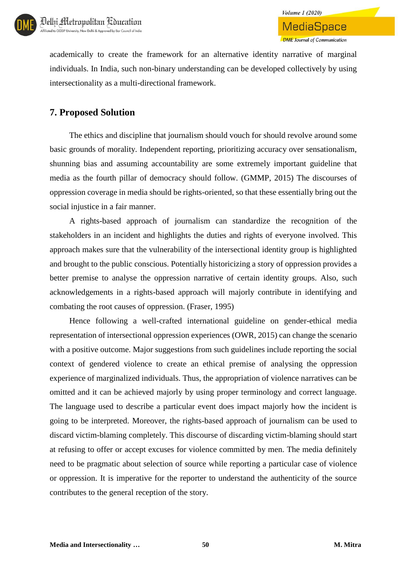

**Volume 1 (2020)** 

academically to create the framework for an alternative identity narrative of marginal individuals. In India, such non-binary understanding can be developed collectively by using intersectionality as a multi-directional framework.

## **7. Proposed Solution**

The ethics and discipline that journalism should vouch for should revolve around some basic grounds of morality. Independent reporting, prioritizing accuracy over sensationalism, shunning bias and assuming accountability are some extremely important guideline that media as the fourth pillar of democracy should follow. (GMMP, 2015) The discourses of oppression coverage in media should be rights-oriented, so that these essentially bring out the social injustice in a fair manner.

A rights-based approach of journalism can standardize the recognition of the stakeholders in an incident and highlights the duties and rights of everyone involved. This approach makes sure that the vulnerability of the intersectional identity group is highlighted and brought to the public conscious. Potentially historicizing a story of oppression provides a better premise to analyse the oppression narrative of certain identity groups. Also, such acknowledgements in a rights-based approach will majorly contribute in identifying and combating the root causes of oppression. (Fraser, 1995)

Hence following a well-crafted international guideline on gender-ethical media representation of intersectional oppression experiences (OWR, 2015) can change the scenario with a positive outcome. Major suggestions from such guidelines include reporting the social context of gendered violence to create an ethical premise of analysing the oppression experience of marginalized individuals. Thus, the appropriation of violence narratives can be omitted and it can be achieved majorly by using proper terminology and correct language. The language used to describe a particular event does impact majorly how the incident is going to be interpreted. Moreover, the rights-based approach of journalism can be used to discard victim-blaming completely. This discourse of discarding victim-blaming should start at refusing to offer or accept excuses for violence committed by men. The media definitely need to be pragmatic about selection of source while reporting a particular case of violence or oppression. It is imperative for the reporter to understand the authenticity of the source contributes to the general reception of the story.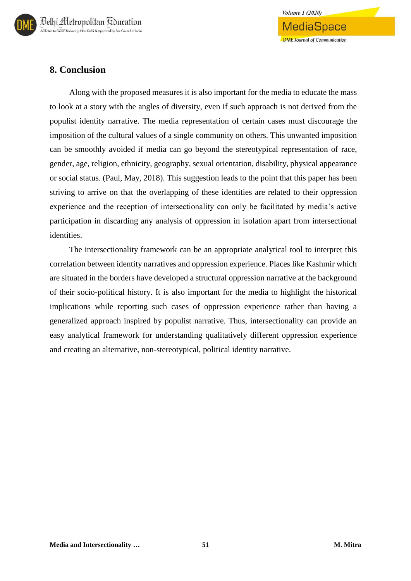

## **8. Conclusion**

Along with the proposed measures it is also important for the media to educate the mass to look at a story with the angles of diversity, even if such approach is not derived from the populist identity narrative. The media representation of certain cases must discourage the imposition of the cultural values of a single community on others. This unwanted imposition can be smoothly avoided if media can go beyond the stereotypical representation of race, gender, age, religion, ethnicity, geography, sexual orientation, disability, physical appearance or social status. (Paul, May, 2018). This suggestion leads to the point that this paper has been striving to arrive on that the overlapping of these identities are related to their oppression experience and the reception of intersectionality can only be facilitated by media's active participation in discarding any analysis of oppression in isolation apart from intersectional identities.

The intersectionality framework can be an appropriate analytical tool to interpret this correlation between identity narratives and oppression experience. Places like Kashmir which are situated in the borders have developed a structural oppression narrative at the background of their socio-political history. It is also important for the media to highlight the historical implications while reporting such cases of oppression experience rather than having a generalized approach inspired by populist narrative. Thus, intersectionality can provide an easy analytical framework for understanding qualitatively different oppression experience and creating an alternative, non-stereotypical, political identity narrative.